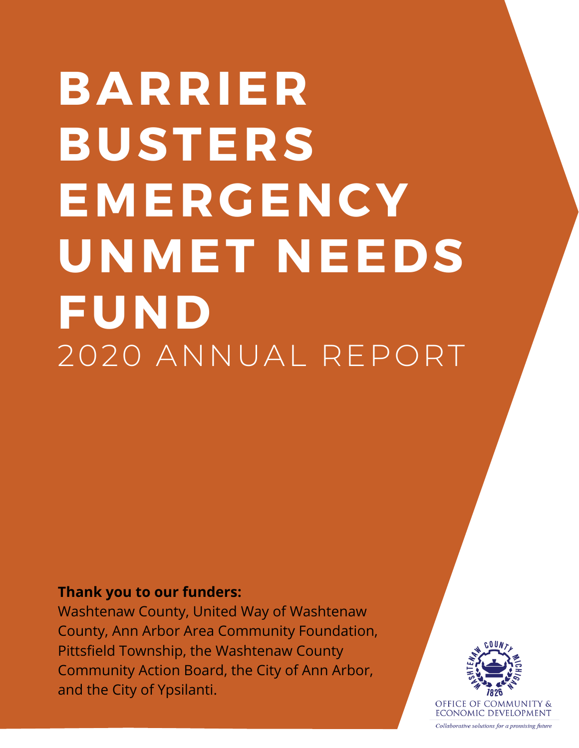# **BARRIER BUSTERS EMERGENCY UNMET NEEDS FUND** 2020 ANNUAL REPORT

#### **Thank you to our funders:**

Washtenaw County, United Way of Washtenaw County, Ann Arbor Area Community Foundation, Pittsfield Township, the Washtenaw County Community Action Board, the City of Ann Arbor, and the City of Ypsilanti.



Collaborative solutions for a promising future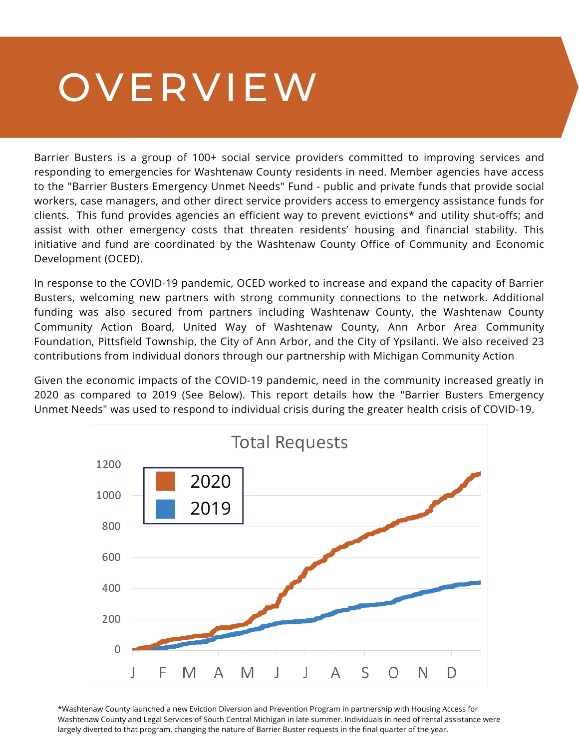## OVERVIEW

Barrier Busters is a group of 100+ social service providers committed to improving services and responding to emergencies for Washtenaw County residents in need. Member agencies have access to the "Barrier Busters Emergency Unmet Needs" Fund - public and private funds that provide social workers, case managers, and other direct service providers access to emergency assistance funds for clients. This fund provides agencies an efficient way to prevent evictions\* and utility shut-offs; and assist with other emergency costs that threaten residents' housing and financial stability. This initiative and fund are coordinated by the Washtenaw County Office of Community and Economic Development (OCED).

In response to the COVID-19 pandemic, OCED worked to increase and expand the capacity of Barrier Busters, welcoming new partners with strong community connections to the network. Additional funding was also secured from partners including Washtenaw County, the Washtenaw County Community Action Board, United Way of Washtenaw County, Ann Arbor Area Community Foundation, Pittsfield Township, the City of Ann Arbor, and the City of Ypsilanti. We also received 23 contributions from individual donors through our partnership with Michigan Community Action

Given the economic impacts of the COVID-19 pandemic, need in the community increased greatly in 2020 as compared to 2019 (See Below). This report details how the "Barrier Busters Emergency Unmet Needs" was used to respond to individual crisis during the greater health crisis of COVID-19.



\*Washtenaw County launched a new Eviction Diversion and Prevention Program in partnership with Housing Access for Washtenaw County and Legal Services of South Central Michigan in late summer. Individuals in need of rental assistance were largely diverted to that program, changing the nature of Barrier Buster requests in the final quarter of the year.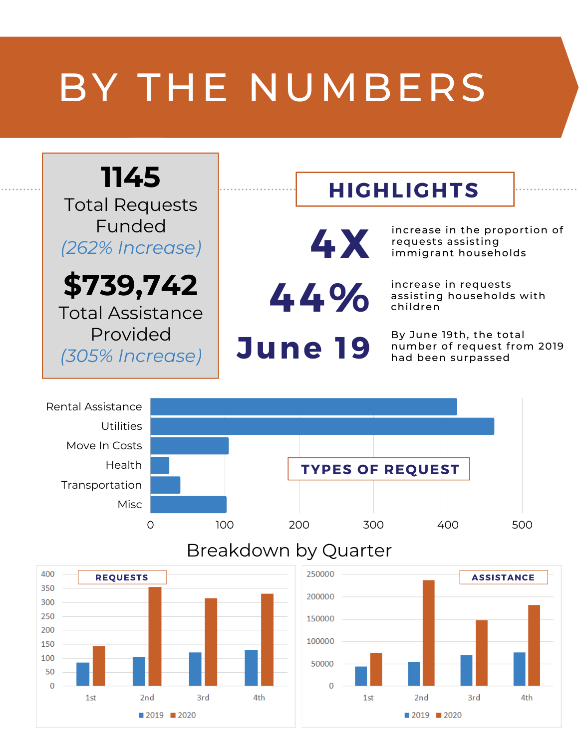# BY THE NUMBERS







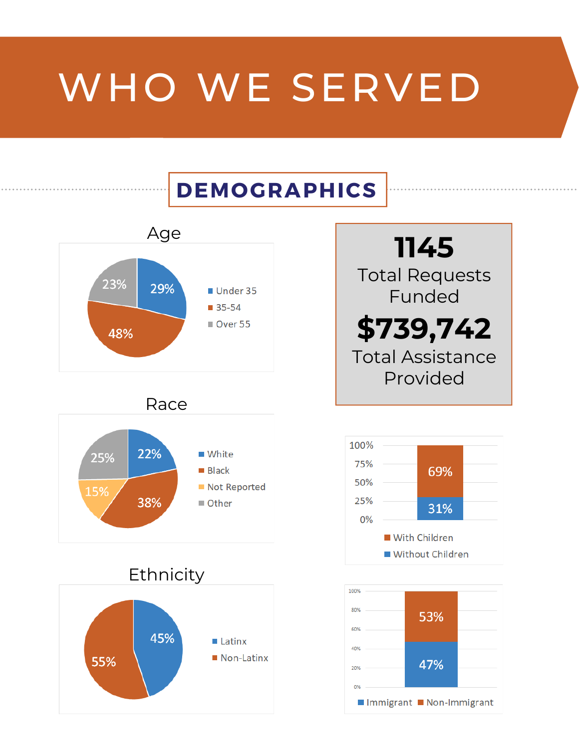## WHO WE SERVED

### **DEMOGRAPHICS**



Race



### Ethnicity



### **1145**

Total Requests Funded

**\$739,742** Total Assistance Provided



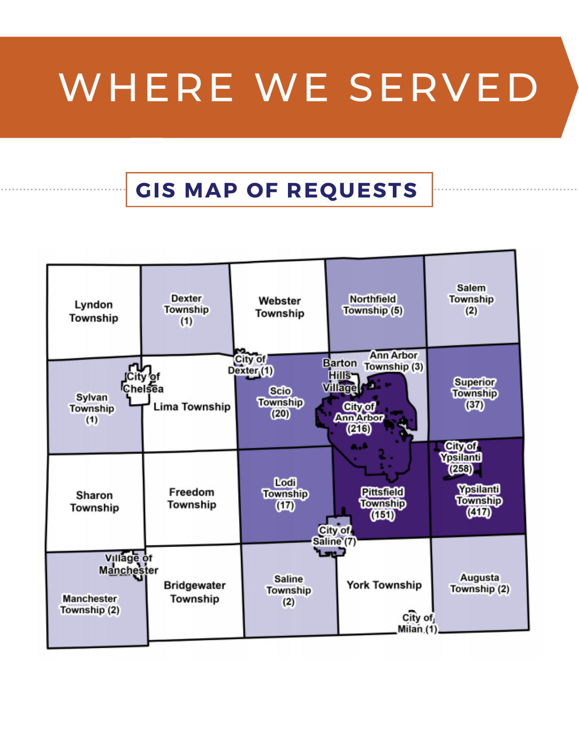## WHERE WE SERVED

#### **GIS MAP OF REQUESTS**

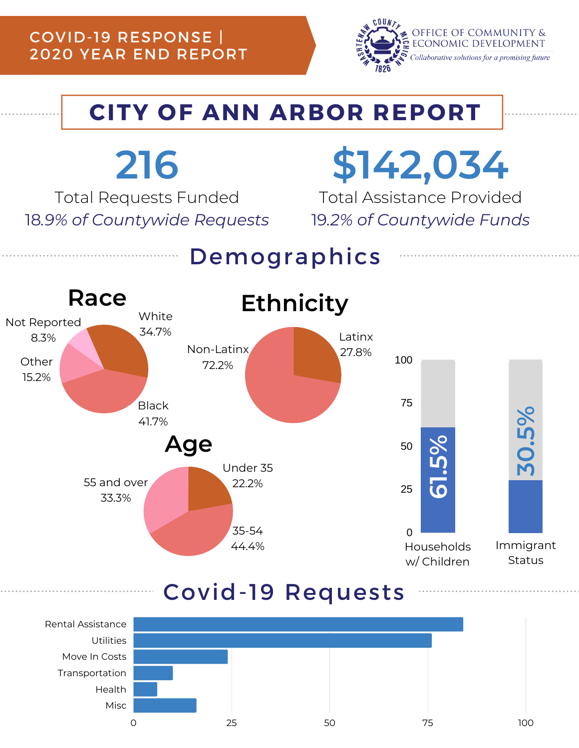

### **CITY OF ANN ARBOR REPORT**

**216** Total Requests Funded 18*.9% of Countywide Requests* **\$142,034**

Total Assistance Provided 19*.2% of Countywide Funds*

#### Demographics



#### Covid-19 Requests

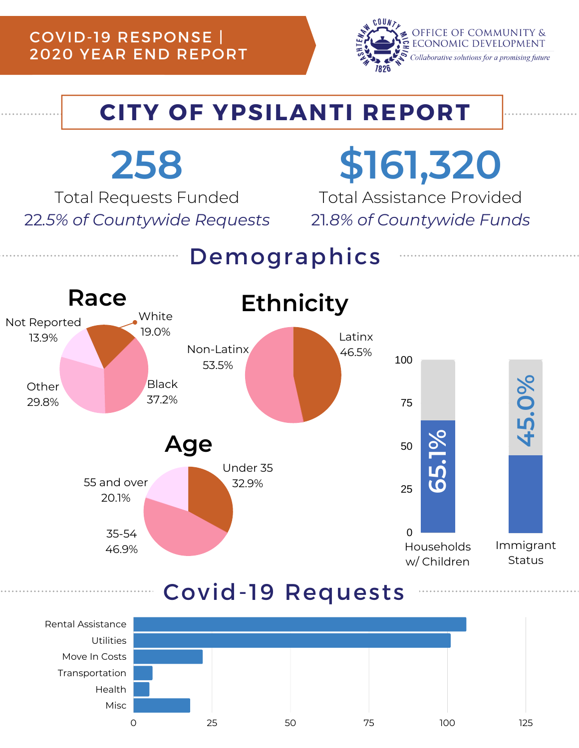#### COVID-19 RESPONSE | 2020 YEAR END REPORT



#### **CITY OF YPSILANTI REPORT**

**258** Total Requests Funded 22*.5% of Countywide Requests*

## **\$161,320**

Total Assistance Provided 21*.8% of Countywide Funds*

#### Demographics



#### Covid-19 Requests

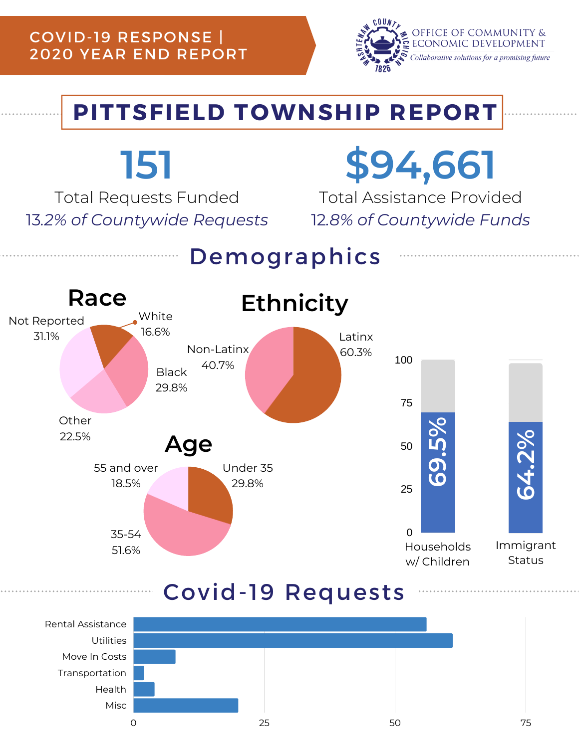

### **PITTSFIELD TOWNSHIP REPORT**